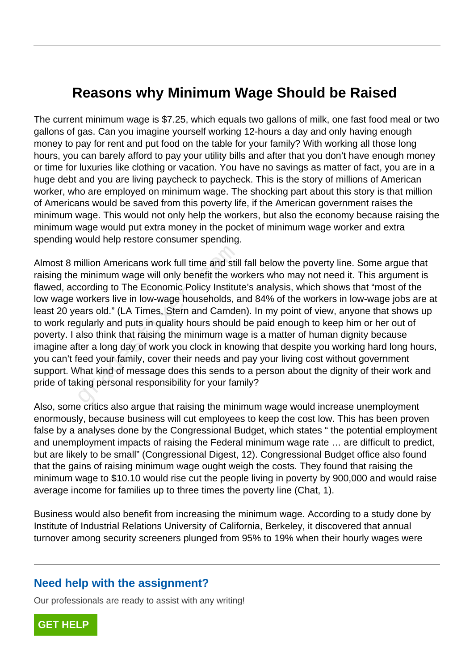## **Reasons why Minimum Wage Should be Raised**

The current minimum wage is \$7.25, which equals two gallons of milk, one fast food meal or two gallons of gas. Can you imagine yourself working 12-hours a day and only having enough money to pay for rent and put food on the table for your family? With working all those long hours, you can barely afford to pay your utility bills and after that you don't have enough money or time for luxuries like clothing or vacation. You have no savings as matter of fact, you are in a huge debt and you are living paycheck to paycheck. This is the story of millions of American worker, who are employed on minimum wage. The shocking part about this story is that million of Americans would be saved from this poverty life, if the American government raises the minimum wage. This would not only help the workers, but also the economy because raising the minimum wage would put extra money in the pocket of minimum wage worker and extra spending would help restore consumer spending.

Almost 8 million Americans work full time and still fall below the poverty line. Some argue that raising the minimum wage will only benefit the workers who may not need it. This argument is flawed, according to The Economic Policy Institute's analysis, which shows that "most of the low wage workers live in low-wage households, and 84% of the workers in low-wage jobs are at least 20 years old." (LA Times, Stern and Camden). In my point of view, anyone that shows up to work regularly and puts in quality hours should be paid enough to keep him or her out of poverty. I also think that raising the minimum wage is a matter of human dignity because imagine after a long day of work you clock in knowing that despite you working hard long hours, you can't feed your family, cover their needs and pay your living cost without government support. What kind of message does this sends to a person about the dignity of their work and pride of taking personal responsibility for your family? nillion Americans work full time and stil<br>minimum wage will only benefit the wo<br>cording to The Economic Policy Institute<br>workers live in low-wage households, a<br>gars old." (LA Times, Stern and Camde<br>gularly and puts in qual

Also, some critics also argue that raising the minimum wage would increase unemployment enormously, because business will cut employees to keep the cost low. This has been proven false by a analyses done by the Congressional Budget, which states " the potential employment and unemployment impacts of raising the Federal minimum wage rate … are difficult to predict, but are likely to be small" (Congressional Digest, 12). Congressional Budget office also found that the gains of raising minimum wage ought weigh the costs. They found that raising the minimum wage to \$10.10 would rise cut the people living in poverty by 900,000 and would raise average income for families up to three times the poverty line (Chat, 1).

Business would also benefit from increasing the minimum wage. According to a study done by Institute of Industrial Relations University of California, Berkeley, it discovered that annual turnover among security screeners plunged from 95% to 19% when their hourly wages were

## **Need help with the assignment?**

Our professionals are ready to assist with any writing!